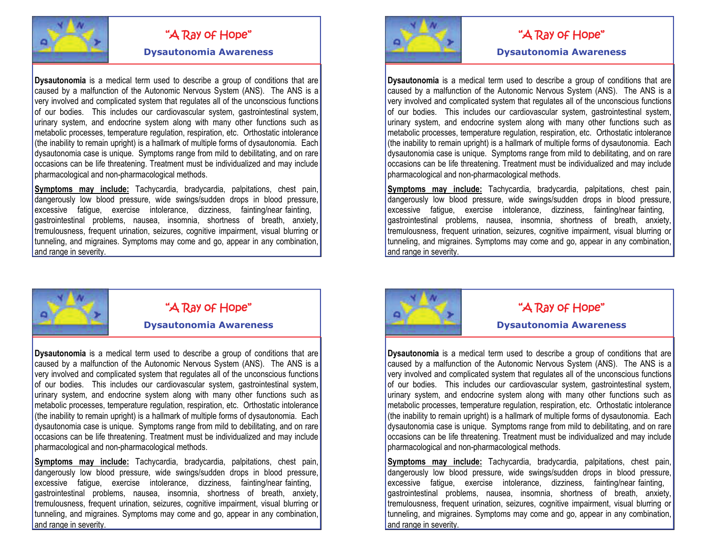

**Dysautonomia** is a medical term used to describe a group of conditions that are caused by a malfunction of the Autonomic Nervous System (ANS). The ANS is a very involved and complicated system that regulates all of the unconscious functions of our bodies. This includes our cardiovascular system, gastrointestinal system, urinary system, and endocrine system along with many other functions such as metabolic processes, temperature regulation, respiration, etc. Orthostatic intolerance (the inability to remain upright) is a hallmark of multiple forms of dysautonomia. Each dysautonomia case is unique. Symptoms range from mild to debilitating, and on rare occasions can be life threatening. Treatment must be individualized and may include pharmacological and non-pharmacological methods. Christman and medical term used to describe a group of conditions that are<br>
Dysauthonomia is a medical term used to describe a group of conditions that are<br>
Dysauthonomia is a medical term used to describe a group of condi

**Symptoms may include:** Tachycardia, bradycardia, palpitations, chest pain, dangerously low blood pressure, wide swings/sudden drops in blood pressure, excessive fatigue, exercise intolerance, dizziness, fainting/near fainting, gastrointestinal problems, nausea, insomnia, shortness of breath, anxiety, tremulousness, frequent urination, seizures, cognitive impairment, visual blurring or tunneling, and migraines. Symptoms may come and go, appear in any combination,



**Dysautonomia** is a medical term used to describe a group of conditions that are caused by a malfunction of the Autonomic Nervous System (ANS). The ANS is a very involved and complicated system that regulates all of the unconscious functions of our bodies. This includes our cardiovascular system, gastrointestinal system, urinary system, and endocrine system along with many other functions such as metabolic processes, temperature regulation, respiration, etc. Orthostatic intolerance (the inability to remain upright) is a hallmark of multiple forms of dysautonomia. Each dysautonomia case is unique. Symptoms range from mild to debilitating, and on rare occasions can be life threatening. Treatment must be individualized and may include pharmacological and non-pharmacological methods.

**Symptoms may include:** Tachycardia, bradycardia, palpitations, chest pain, dangerously low blood pressure, wide swings/sudden drops in blood pressure, excessive fatigue, exercise intolerance, dizziness, fainting/near fainting, gastrointestinal problems, nausea, insomnia, shortness of breath, anxiety, tremulousness, frequent urination, seizures, cognitive impairment, visual blurring or tunneling, and migraines. Symptoms may come and go, appear in any combination,





Christman and medical term used to describe a group of conditions that are<br>
Dysauthonomia is a medical term used to describe a group of conditions that are<br>
Dysauthonomia is a medical term used to describe a group of condi